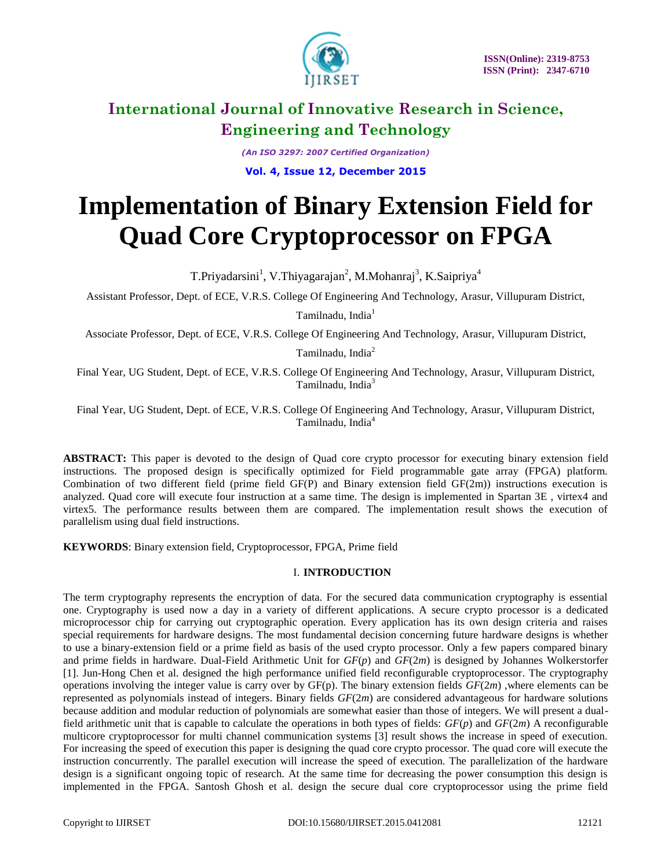

*(An ISO 3297: 2007 Certified Organization)*

**Vol. 4, Issue 12, December 2015**

# **Implementation of Binary Extension Field for Quad Core Cryptoprocessor on FPGA**

T.Priyadarsini<sup>1</sup>, V.Thiyagarajan<sup>2</sup>, M.Mohanraj<sup>3</sup>, K.Saipriya<sup>4</sup>

Assistant Professor, Dept. of ECE, V.R.S. College Of Engineering And Technology, Arasur, Villupuram District,

Tamilnadu, India<sup>1</sup>

Associate Professor, Dept. of ECE, V.R.S. College Of Engineering And Technology, Arasur, Villupuram District,

Tamilnadu, India<sup>2</sup>

Final Year, UG Student, Dept. of ECE, V.R.S. College Of Engineering And Technology, Arasur, Villupuram District, Tamilnadu, India<sup>3</sup>

Final Year, UG Student, Dept. of ECE, V.R.S. College Of Engineering And Technology, Arasur, Villupuram District, Tamilnadu, India<sup>4</sup>

**ABSTRACT:** This paper is devoted to the design of Quad core crypto processor for executing binary extension field instructions. The proposed design is specifically optimized for Field programmable gate array (FPGA) platform. Combination of two different field (prime field GF(P) and Binary extension field GF(2m)) instructions execution is analyzed. Quad core will execute four instruction at a same time. The design is implemented in Spartan 3E , virtex4 and virtex5. The performance results between them are compared. The implementation result shows the execution of parallelism using dual field instructions.

**KEYWORDS**: Binary extension field, Cryptoprocessor, FPGA, Prime field

# I. **INTRODUCTION**

The term cryptography represents the encryption of data. For the secured data communication cryptography is essential one. Cryptography is used now a day in a variety of different applications. A secure crypto processor is a dedicated microprocessor chip for carrying out cryptographic operation. Every application has its own design criteria and raises special requirements for hardware designs. The most fundamental decision concerning future hardware designs is whether to use a binary-extension field or a prime field as basis of the used crypto processor. Only a few papers compared binary and prime fields in hardware. Dual-Field Arithmetic Unit for *GF*(*p*) and *GF*(2*m*) is designed by Johannes Wolkerstorfer [1]. Jun-Hong Chen et al. designed the high performance unified field reconfigurable cryptoprocessor. The cryptography operations involving the integer value is carry over by GF(p). The binary extension fields *GF*(2*m*) ,where elements can be represented as polynomials instead of integers. Binary fields *GF*(2*m*) are considered advantageous for hardware solutions because addition and modular reduction of polynomials are somewhat easier than those of integers. We will present a dualfield arithmetic unit that is capable to calculate the operations in both types of fields: *GF*(*p*) and *GF*(2*m*) A reconfigurable multicore cryptoprocessor for multi channel communication systems [3] result shows the increase in speed of execution. For increasing the speed of execution this paper is designing the quad core crypto processor. The quad core will execute the instruction concurrently. The parallel execution will increase the speed of execution. The parallelization of the hardware design is a significant ongoing topic of research. At the same time for decreasing the power consumption this design is implemented in the FPGA. Santosh Ghosh et al. design the secure dual core cryptoprocessor using the prime field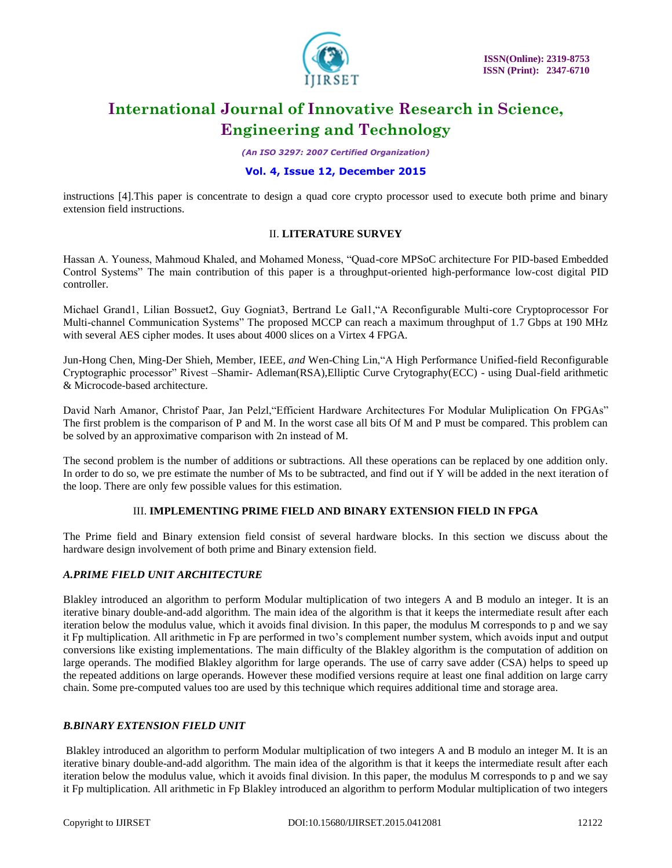

*(An ISO 3297: 2007 Certified Organization)*

# **Vol. 4, Issue 12, December 2015**

instructions [4].This paper is concentrate to design a quad core crypto processor used to execute both prime and binary extension field instructions.

### II. **LITERATURE SURVEY**

Hassan A. Youness, Mahmoud Khaled, and Mohamed Moness, "Quad-core MPSoC architecture For PID-based Embedded Control Systems" The main contribution of this paper is a throughput-oriented high-performance low-cost digital PID controller.

Michael Grand1, Lilian Bossuet2, Guy Gogniat3, Bertrand Le Gal1,"A Reconfigurable Multi-core Cryptoprocessor For Multi-channel Communication Systems" The proposed MCCP can reach a maximum throughput of 1.7 Gbps at 190 MHz with several AES cipher modes. It uses about 4000 slices on a Virtex 4 FPGA.

Jun-Hong Chen, Ming-Der Shieh, Member*,* IEEE*, and* Wen-Ching Lin,"A High Performance Unified-field Reconfigurable Cryptographic processor" Rivest –Shamir- Adleman(RSA),Elliptic Curve Crytography(ECC) - using Dual-field arithmetic & Microcode-based architecture.

David Narh Amanor, Christof Paar, Jan Pelzl,"Efficient Hardware Architectures For Modular Muliplication On FPGAs" The first problem is the comparison of P and M. In the worst case all bits Of M and P must be compared. This problem can be solved by an approximative comparison with 2n instead of M.

The second problem is the number of additions or subtractions. All these operations can be replaced by one addition only. In order to do so, we pre estimate the number of Ms to be subtracted, and find out if Y will be added in the next iteration of the loop. There are only few possible values for this estimation.

# III. **IMPLEMENTING PRIME FIELD AND BINARY EXTENSION FIELD IN FPGA**

The Prime field and Binary extension field consist of several hardware blocks. In this section we discuss about the hardware design involvement of both prime and Binary extension field.

# *A.PRIME FIELD UNIT ARCHITECTURE*

Blakley introduced an algorithm to perform Modular multiplication of two integers A and B modulo an integer. It is an iterative binary double-and-add algorithm. The main idea of the algorithm is that it keeps the intermediate result after each iteration below the modulus value, which it avoids final division. In this paper, the modulus M corresponds to p and we say it Fp multiplication. All arithmetic in Fp are performed in two's complement number system, which avoids input and output conversions like existing implementations. The main difficulty of the Blakley algorithm is the computation of addition on large operands. The modified Blakley algorithm for large operands. The use of carry save adder (CSA) helps to speed up the repeated additions on large operands. However these modified versions require at least one final addition on large carry chain. Some pre-computed values too are used by this technique which requires additional time and storage area.

# *B.BINARY EXTENSION FIELD UNIT*

Blakley introduced an algorithm to perform Modular multiplication of two integers A and B modulo an integer M. It is an iterative binary double-and-add algorithm. The main idea of the algorithm is that it keeps the intermediate result after each iteration below the modulus value, which it avoids final division. In this paper, the modulus M corresponds to p and we say it Fp multiplication. All arithmetic in Fp Blakley introduced an algorithm to perform Modular multiplication of two integers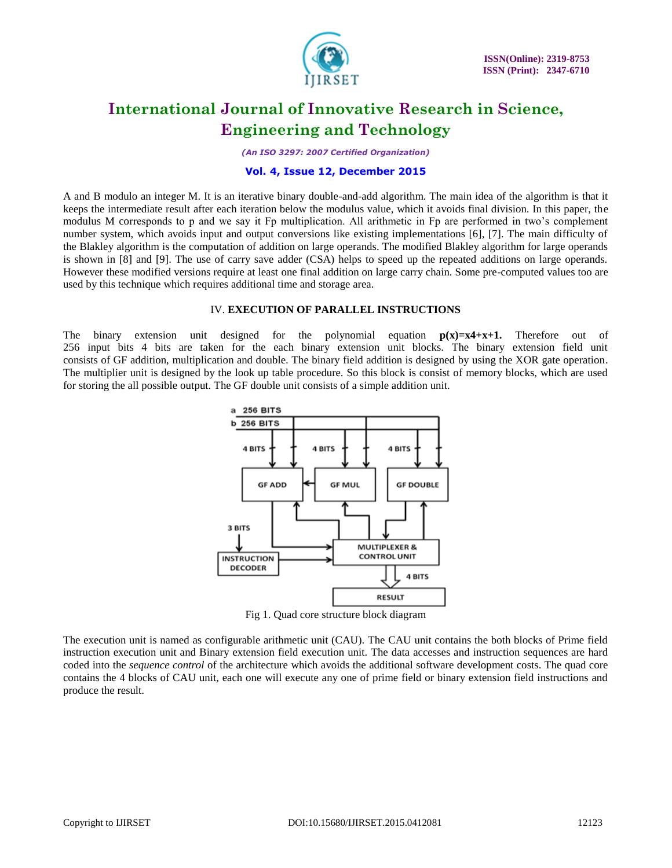

*(An ISO 3297: 2007 Certified Organization)*

### **Vol. 4, Issue 12, December 2015**

A and B modulo an integer M. It is an iterative binary double-and-add algorithm. The main idea of the algorithm is that it keeps the intermediate result after each iteration below the modulus value, which it avoids final division. In this paper, the modulus M corresponds to p and we say it Fp multiplication. All arithmetic in Fp are performed in two's complement number system, which avoids input and output conversions like existing implementations [6], [7]. The main difficulty of the Blakley algorithm is the computation of addition on large operands. The modified Blakley algorithm for large operands is shown in [8] and [9]. The use of carry save adder (CSA) helps to speed up the repeated additions on large operands. However these modified versions require at least one final addition on large carry chain. Some pre-computed values too are used by this technique which requires additional time and storage area.

#### IV. **EXECUTION OF PARALLEL INSTRUCTIONS**

The binary extension unit designed for the polynomial equation  $p(x)=x^4+x+1$ . Therefore out of 256 input bits 4 bits are taken for the each binary extension unit blocks. The binary extension field unit consists of GF addition, multiplication and double. The binary field addition is designed by using the XOR gate operation. The multiplier unit is designed by the look up table procedure. So this block is consist of memory blocks, which are used for storing the all possible output. The GF double unit consists of a simple addition unit.



Fig 1. Quad core structure block diagram

The execution unit is named as configurable arithmetic unit (CAU). The CAU unit contains the both blocks of Prime field instruction execution unit and Binary extension field execution unit. The data accesses and instruction sequences are hard coded into the *sequence control* of the architecture which avoids the additional software development costs. The quad core contains the 4 blocks of CAU unit, each one will execute any one of prime field or binary extension field instructions and produce the result.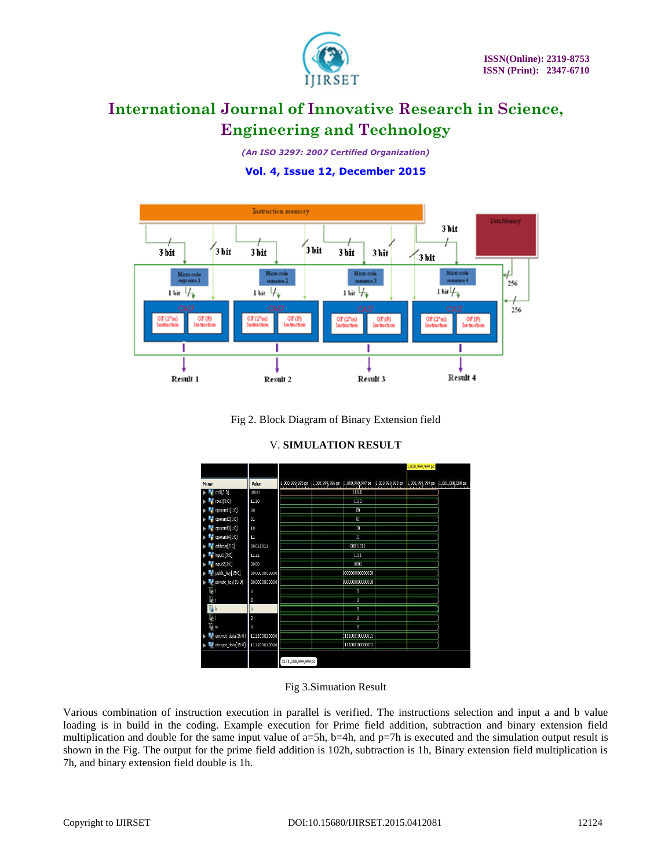

*(An ISO 3297: 2007 Certified Organization)*

# **Vol. 4, Issue 12, December 2015**



Fig 2. Block Diagram of Binary Extension field

| Value<br>UUU<br>1110<br>00 | $\left  1,000,999,995 \text{ ps } 11,000,999,996 \text{ ps } 11,000,999,997 \text{ ps } 11,000,999,998 \text{ ps } 11,000,999,999 \text{ ps } \right $ | <b>UJU</b>           |                                                                          | [1,001,000,000 ps |
|----------------------------|--------------------------------------------------------------------------------------------------------------------------------------------------------|----------------------|--------------------------------------------------------------------------|-------------------|
|                            |                                                                                                                                                        |                      |                                                                          |                   |
|                            |                                                                                                                                                        |                      |                                                                          |                   |
|                            |                                                                                                                                                        | 1110                 |                                                                          |                   |
|                            |                                                                                                                                                        | 00                   |                                                                          |                   |
| 01                         |                                                                                                                                                        | $\overline{01}$      |                                                                          |                   |
| 10                         |                                                                                                                                                        | 10                   |                                                                          |                   |
| 11                         |                                                                                                                                                        | m                    |                                                                          |                   |
| 00011011                   |                                                                                                                                                        | 00011011             |                                                                          |                   |
| 1111                       |                                                                                                                                                        | 1111                 |                                                                          |                   |
| 0000                       |                                                                                                                                                        | 0000                 |                                                                          |                   |
| 000000000000               |                                                                                                                                                        |                      |                                                                          |                   |
| 000000000000               |                                                                                                                                                        |                      |                                                                          |                   |
|                            |                                                                                                                                                        | 0                    |                                                                          |                   |
|                            |                                                                                                                                                        | o                    |                                                                          |                   |
|                            |                                                                                                                                                        | o                    |                                                                          |                   |
|                            |                                                                                                                                                        | 0                    |                                                                          |                   |
|                            |                                                                                                                                                        | ō                    |                                                                          |                   |
| 111100010000               |                                                                                                                                                        |                      |                                                                          |                   |
| 111100010000               |                                                                                                                                                        |                      |                                                                          |                   |
|                            |                                                                                                                                                        | X1: 1,000,999,999 ps | 000000000000000<br>000000000000000<br>111000100000001<br>111000100000001 |                   |

# V. **SIMULATION RESULT**

# Fig 3.Simuation Result

Various combination of instruction execution in parallel is verified. The instructions selection and input a and b value loading is in build in the coding. Example execution for Prime field addition, subtraction and binary extension field multiplication and double for the same input value of  $a=5h$ ,  $b=4h$ , and  $p=7h$  is executed and the simulation output result is shown in the Fig. The output for the prime field addition is 102h, subtraction is 1h, Binary extension field multiplication is 7h, and binary extension field double is 1h.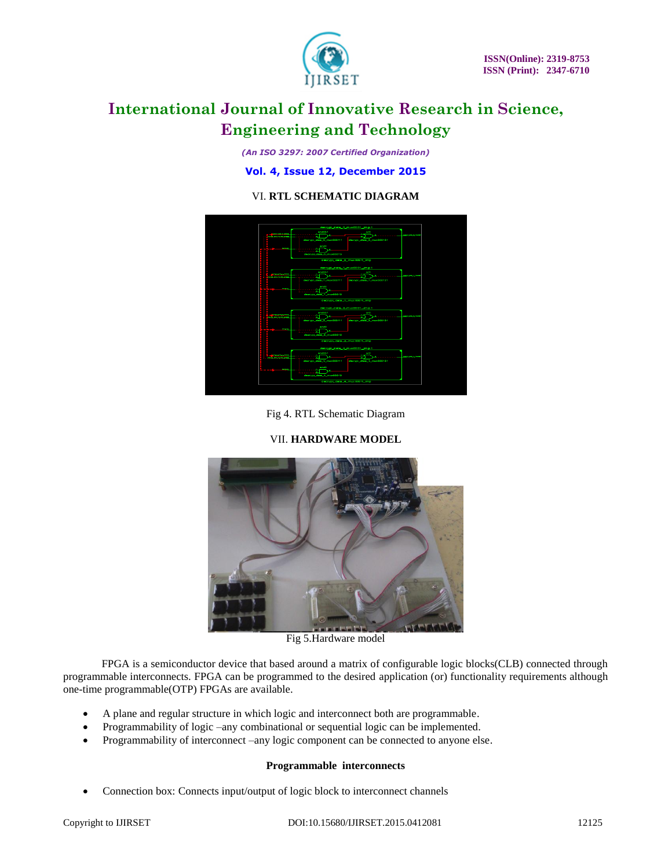

*(An ISO 3297: 2007 Certified Organization)*

**Vol. 4, Issue 12, December 2015**

# VI. **RTL SCHEMATIC DIAGRAM**



Fig 4. RTL Schematic Diagram

# VII. **HARDWARE MODEL**



Fig 5.Hardware model

 FPGA is a semiconductor device that based around a matrix of configurable logic blocks(CLB) connected through programmable interconnects. FPGA can be programmed to the desired application (or) functionality requirements although one-time programmable(OTP) FPGAs are available.

- A plane and regular structure in which logic and interconnect both are programmable.
- Programmability of logic –any combinational or sequential logic can be implemented.
- Programmability of interconnect –any logic component can be connected to anyone else.

# **Programmable interconnects**

• Connection box: Connects input/output of logic block to interconnect channels